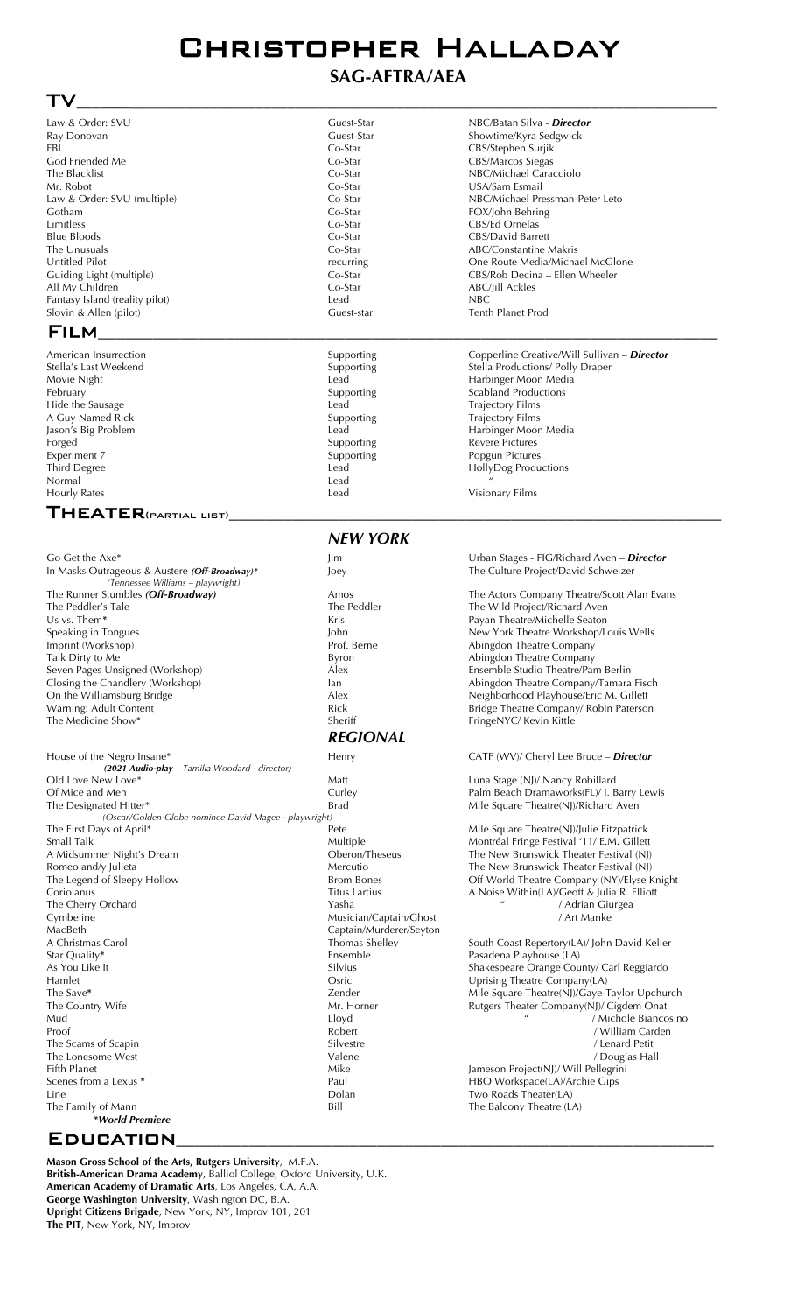## Christopher Halladay

## **SAG-AFTRA/AEA**

| Law & Order: SVU                                                             | Guest-Star                                | NBC/Batan Silva - <b>Director</b>                              |
|------------------------------------------------------------------------------|-------------------------------------------|----------------------------------------------------------------|
| Ray Donovan                                                                  | Guest-Star                                | Showtime/Kyra Sedgwick                                         |
| <b>FBI</b>                                                                   | Co-Star                                   | CBS/Stephen Surjik                                             |
| God Friended Me                                                              | Co-Star                                   | CBS/Marcos Siegas                                              |
| The Blacklist                                                                | Co-Star                                   | NBC/Michael Caracciolo                                         |
| Mr. Robot<br>Law & Order: SVU (multiple)                                     | Co-Star<br>Co-Star                        | USA/Sam Esmail<br>NBC/Michael Pressman-Peter Leto              |
| Gotham                                                                       | Co-Star                                   | FOX/John Behring                                               |
| Limitless                                                                    | Co-Star                                   | CBS/Ed Ornelas                                                 |
| <b>Blue Bloods</b>                                                           | Co-Star                                   | <b>CBS/David Barrett</b>                                       |
| The Unusuals                                                                 | Co-Star                                   | ABC/Constantine Makris                                         |
| Untitled Pilot                                                               | recurring                                 | One Route Media/Michael McGlone                                |
| Guiding Light (multiple)                                                     | Co-Star                                   | CBS/Rob Decina – Ellen Wheeler                                 |
| All My Children                                                              | Co-Star                                   | ABC/Jill Ackles                                                |
| Fantasy Island (reality pilot)                                               | Lead                                      | <b>NBC</b>                                                     |
| Slovin & Allen (pilot)<br><b>FILM</b>                                        | Guest-star                                | <b>Tenth Planet Prod</b>                                       |
| American Insurrection                                                        | Supporting                                | Copperline Creative/Will Sullivan - Director                   |
| Stella's Last Weekend                                                        | Supporting                                | Stella Productions/ Polly Draper                               |
| Movie Night                                                                  | Lead                                      | Harbinger Moon Media                                           |
| February                                                                     | Supporting                                | <b>Scabland Productions</b>                                    |
| Hide the Sausage                                                             | Lead                                      | <b>Trajectory Films</b>                                        |
| A Guy Named Rick                                                             | Supporting                                | <b>Trajectory Films</b>                                        |
| Jason's Big Problem                                                          | Lead                                      | Harbinger Moon Media                                           |
| Forged                                                                       | Supporting                                | <b>Revere Pictures</b>                                         |
| Experiment 7                                                                 | Supporting                                | Popgun Pictures                                                |
| Third Degree<br>Normal                                                       | Lead<br>Lead                              | HollyDog Productions                                           |
| <b>Hourly Rates</b>                                                          | Lead                                      | Visionary Films                                                |
| THEATER(PARTIAL LIST)                                                        |                                           |                                                                |
|                                                                              | <b>NEW YORK</b>                           |                                                                |
| Go Get the Axe*                                                              | Jim                                       | Urban Stages - FIG/Richard Aven - Director                     |
| In Masks Outrageous & Austere (Off-Broadway)*                                | Joey                                      | The Culture Project/David Schweizer                            |
| (Tennessee Williams - playwright)                                            |                                           |                                                                |
| The Runner Stumbles (Off-Broadway)                                           | Amos                                      | The Actors Company Theatre/Scott Alan Evans                    |
| The Peddler's Tale                                                           | The Peddler                               | The Wild Project/Richard Aven                                  |
| Us vs. Them*                                                                 | Kris                                      | Payan Theatre/Michelle Seaton                                  |
| Speaking in Tongues                                                          | John                                      | New York Theatre Workshop/Louis Wells                          |
| Imprint (Workshop)                                                           | Prof. Berne                               | Abingdon Theatre Company                                       |
| Talk Dirty to Me                                                             | Byron                                     | Abingdon Theatre Company<br>Ensemble Studio Theatre/Pam Berlin |
| Seven Pages Unsigned (Workshop)<br>Closing the Chandlery (Workshop)          | Alex<br>lan                               | Abingdon Theatre Company/Tamara Fisch                          |
| On the Williamsburg Bridge                                                   | Alex                                      | Neighborhood Playhouse/Eric M. Gillett                         |
| Warning: Adult Content                                                       | Rick                                      | Bridge Theatre Company/ Robin Paterson                         |
| The Medicine Show*                                                           | Sheriff                                   | FringeNYC/ Kevin Kittle                                        |
|                                                                              | <b>REGIONAL</b>                           |                                                                |
| House of the Negro Insane*<br>(2021 Audio-play - Tamilla Woodard - director) | Henry                                     | CATF (WV)/ Cheryl Lee Bruce - Director                         |
| Old Love New Love*                                                           | Matt                                      | Luna Stage (NJ)/ Nancy Robillard                               |
| Of Mice and Men                                                              | Curley                                    | Palm Beach Dramaworks(FL)/ J. Barry Lewis                      |
| The Designated Hitter*                                                       | <b>Brad</b>                               | Mile Square Theatre(NJ)/Richard Aven                           |
| (Oscar/Golden-Globe nominee David Magee - playwright)                        |                                           |                                                                |
| The First Days of April*                                                     | Pete                                      | Mile Square Theatre(NJ)/Julie Fitzpatrick                      |
| Small Talk                                                                   | Multiple                                  | Montréal Fringe Festival '11/ E.M. Gillett                     |
| A Midsummer Night's Dream                                                    | Oberon/Theseus                            | The New Brunswick Theater Festival (NJ)                        |
| Romeo and/y Julieta                                                          | Mercutio                                  | The New Brunswick Theater Festival (NJ)                        |
| The Legend of Sleepy Hollow                                                  | <b>Brom Bones</b>                         | Off-World Theatre Company (NY)/Elyse Knight                    |
| Coriolanus                                                                   | <b>Titus Lartius</b>                      | A Noise Within(LA)/Geoff & Julia R. Elliott                    |
| The Cherry Orchard                                                           | Yasha                                     | / Adrian Giurgea                                               |
| Cymbeline<br>MacBeth                                                         | Musician/Captain/Ghost                    | / Art Manke                                                    |
| A Christmas Carol                                                            | Captain/Murderer/Seyton<br>Thomas Shelley | South Coast Repertory(LA)/ John David Keller                   |
| Star Quality*                                                                | Ensemble                                  | Pasadena Playhouse (LA)                                        |
| As You Like It                                                               | Silvius                                   | Shakespeare Orange County/ Carl Reggiardo                      |
| Hamlet                                                                       | Osric                                     | Uprising Theatre Company(LA)                                   |
| The Save*                                                                    | Zender                                    | Mile Square Theatre(NJ)/Gaye-Taylor Upchurch                   |
| The Country Wife                                                             | Mr. Horner                                | Rutgers Theater Company(NJ)/ Cigdem Onat                       |
| Mud                                                                          | Lloyd                                     | / Michole Biancosino                                           |
| Proof                                                                        | Robert                                    | / William Carden                                               |
| The Scams of Scapin                                                          | Silvestre                                 | / Lenard Petit                                                 |
| The Lonesome West                                                            | Valene                                    | / Douglas Hall                                                 |
| Fifth Planet                                                                 | Mike                                      | Jameson Project(NJ)/ Will Pellegrini                           |
| Scenes from a Lexus *                                                        | Paul                                      | HBO Workspace(LA)/Archie Gips                                  |
| Line                                                                         | Dolan                                     | Two Roads Theater(LA)                                          |
| The Family of Mann                                                           | Bill                                      | The Balcony Theatre (LA)                                       |
| *World Premiere                                                              |                                           |                                                                |

**George Washington University**, Washington DC, B.A. **Upright Citizens Brigade**, New York, NY, Improv 101, 201

**The PIT**, New York, NY, Improv